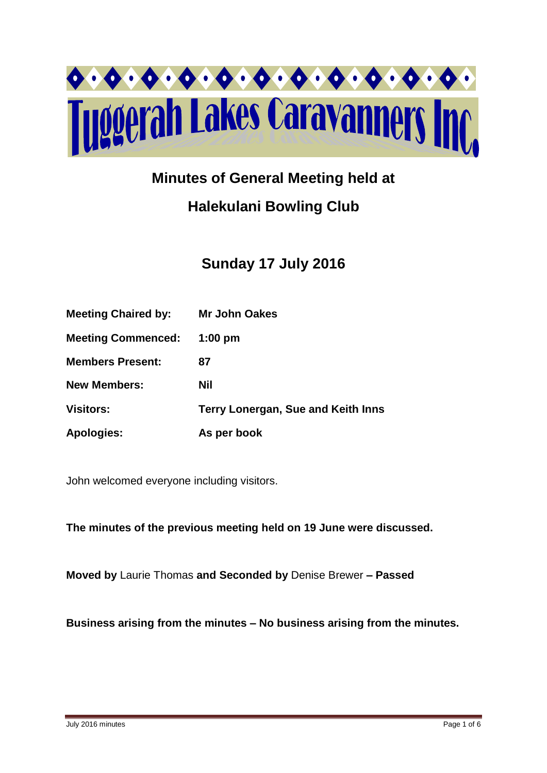

# **Minutes of General Meeting held at**

# **Halekulani Bowling Club**

# **Sunday 17 July 2016**

| <b>Meeting Chaired by:</b> | <b>Mr John Oakes</b>               |
|----------------------------|------------------------------------|
| <b>Meeting Commenced:</b>  | $1:00$ pm                          |
| <b>Members Present:</b>    | 87                                 |
| <b>New Members:</b>        | Nil                                |
| <b>Visitors:</b>           | Terry Lonergan, Sue and Keith Inns |
| <b>Apologies:</b>          | As per book                        |

John welcomed everyone including visitors.

**The minutes of the previous meeting held on 19 June were discussed.**

**Moved by** Laurie Thomas **and Seconded by** Denise Brewer **– Passed** 

**Business arising from the minutes – No business arising from the minutes.**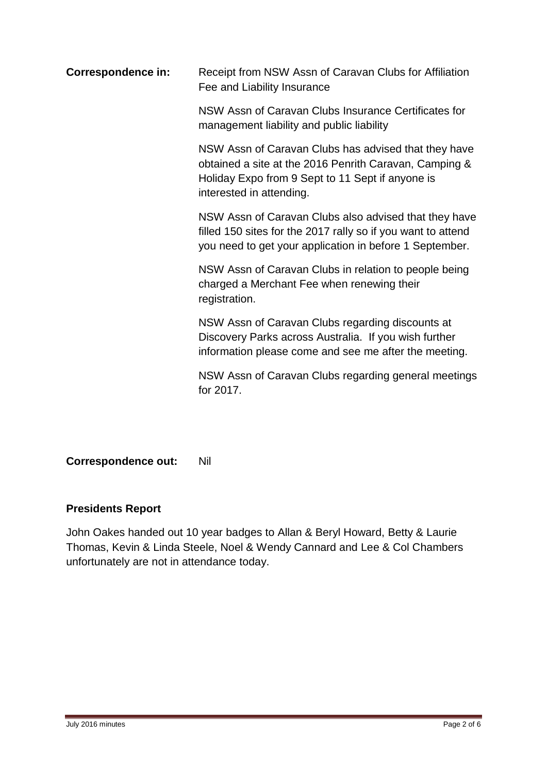**Correspondence in:** Receipt from NSW Assn of Caravan Clubs for Affiliation Fee and Liability Insurance

> NSW Assn of Caravan Clubs Insurance Certificates for management liability and public liability

NSW Assn of Caravan Clubs has advised that they have obtained a site at the 2016 Penrith Caravan, Camping & Holiday Expo from 9 Sept to 11 Sept if anyone is interested in attending.

NSW Assn of Caravan Clubs also advised that they have filled 150 sites for the 2017 rally so if you want to attend you need to get your application in before 1 September.

NSW Assn of Caravan Clubs in relation to people being charged a Merchant Fee when renewing their registration.

NSW Assn of Caravan Clubs regarding discounts at Discovery Parks across Australia. If you wish further information please come and see me after the meeting.

NSW Assn of Caravan Clubs regarding general meetings for 2017.

## **Correspondence out:** Nil

## **Presidents Report**

John Oakes handed out 10 year badges to Allan & Beryl Howard, Betty & Laurie Thomas, Kevin & Linda Steele, Noel & Wendy Cannard and Lee & Col Chambers unfortunately are not in attendance today.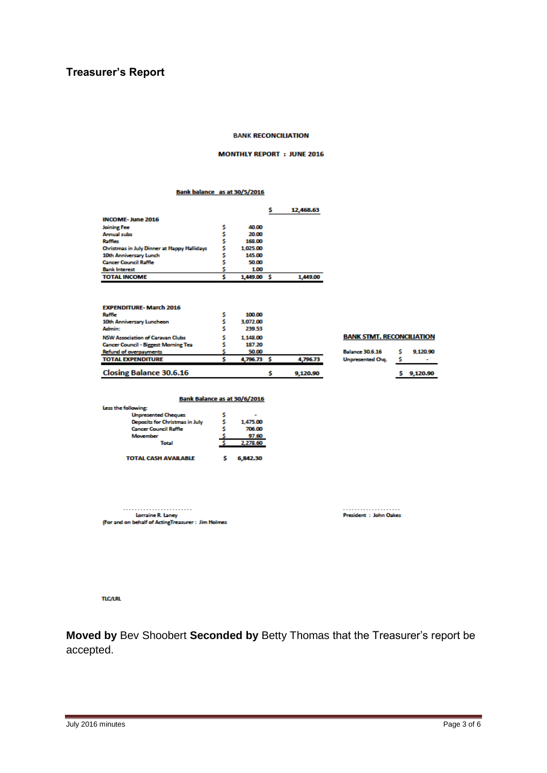## **Treasurer's Report**

#### **BANK RECONCILIATION**

#### **MONTHLY REPORT : JUNE 2016**

#### Bank balance as at 30/5/2016

|                                             |          |    | 12,468.63 |
|---------------------------------------------|----------|----|-----------|
| <b>INCOME-June 2016</b>                     |          |    |           |
| Joining Fee                                 | 40.00    |    |           |
| <b>Annual subs</b>                          | 20.00    |    |           |
| <b>Raffles</b>                              | 168.00   |    |           |
| Christmas in July Dinner at Happy Hallidays | 1.025.00 |    |           |
| 10th Anniversary Lunch                      | 145.00   |    |           |
| <b>Cancer Council Raffle</b>                | 50.00    |    |           |
| <b>Bank Interest</b>                        | 1.00     |    |           |
| <b>TOTAL INCOME</b>                         | 1,449.00 | -s | 1.449.00  |

| <b>EXPENDITURE-March 2016</b>               |             |          |
|---------------------------------------------|-------------|----------|
| Raffie                                      | 100.00      |          |
| 10th Anniversary Luncheon                   | 3.072.00    |          |
| Admin:                                      | 239.53      |          |
| <b>NSW Association of Caravan Clubs</b>     | 1.148.00    |          |
| <b>Cancer Council - Biggest Morning Tea</b> | 187.20      |          |
| <b>Refund of overpayments</b>               | 50.00       |          |
| <b>TOTAL EXPENDITURE</b>                    | 4,796.73 \$ | 4,796.73 |
|                                             |             |          |
| <b>Closing Balance 30.6.16</b>              |             | 9.120.90 |

| <b>Balance 30.6.16</b>  | 9.120.90 |
|-------------------------|----------|
| <b>Unpresented Chg.</b> |          |

#### Bank Balance as at 30/6/2016

| <u>bain barance as at so, o, coro</u> |  |          |  |  |
|---------------------------------------|--|----------|--|--|
| Less the following:                   |  |          |  |  |
| <b>Unpresented Cheques</b>            |  |          |  |  |
| Deposits for Christmas in July        |  | 1,475.00 |  |  |
| <b>Cancer Council Raffle</b>          |  | 706.00   |  |  |
| <b>Movember</b>                       |  | 97.60    |  |  |
| Total                                 |  | 2,278.60 |  |  |
|                                       |  |          |  |  |
| <b>TOTAL CASH AVAILABLE</b>           |  | 6,842.30 |  |  |

 $\begin{minipage}{.4\linewidth} \begin{tabular}{l} \textbf{I} & \textbf{I} & \textbf{I} & \textbf{I} & \textbf{I} & \textbf{I} & \textbf{I} & \textbf{I} & \textbf{I} & \textbf{I} & \textbf{I} & \textbf{I} & \textbf{I} & \textbf{I} & \textbf{I} & \textbf{I} & \textbf{I} & \textbf{I} & \textbf{I} & \textbf{I} & \textbf{I} & \textbf{I} & \textbf{I} & \textbf{I} & \textbf{I} & \textbf{I} & \textbf{I} & \textbf{I} & \textbf{$ (For and on behalf of ActingTreasurer : Jim Holmes **TLC/LRL** 

**Moved by** Bev Shoobert **Seconded by** Betty Thomas that the Treasurer's report be accepted.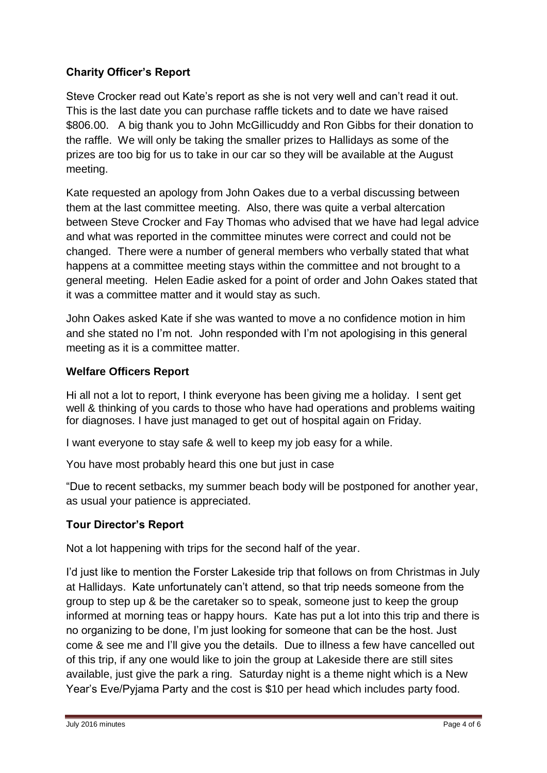# **Charity Officer's Report**

Steve Crocker read out Kate's report as she is not very well and can't read it out. This is the last date you can purchase raffle tickets and to date we have raised \$806.00. A big thank you to John McGillicuddy and Ron Gibbs for their donation to the raffle. We will only be taking the smaller prizes to Hallidays as some of the prizes are too big for us to take in our car so they will be available at the August meeting.

Kate requested an apology from John Oakes due to a verbal discussing between them at the last committee meeting. Also, there was quite a verbal altercation between Steve Crocker and Fay Thomas who advised that we have had legal advice and what was reported in the committee minutes were correct and could not be changed. There were a number of general members who verbally stated that what happens at a committee meeting stays within the committee and not brought to a general meeting. Helen Eadie asked for a point of order and John Oakes stated that it was a committee matter and it would stay as such.

John Oakes asked Kate if she was wanted to move a no confidence motion in him and she stated no I'm not. John responded with I'm not apologising in this general meeting as it is a committee matter.

# **Welfare Officers Report**

Hi all not a lot to report, I think everyone has been giving me a holiday. I sent get well & thinking of you cards to those who have had operations and problems waiting for diagnoses. I have just managed to get out of hospital again on Friday.

I want everyone to stay safe & well to keep my job easy for a while.

You have most probably heard this one but just in case

"Due to recent setbacks, my summer beach body will be postponed for another year, as usual your patience is appreciated.

## **Tour Director's Report**

Not a lot happening with trips for the second half of the year.

I'd just like to mention the Forster Lakeside trip that follows on from Christmas in July at Hallidays. Kate unfortunately can't attend, so that trip needs someone from the group to step up & be the caretaker so to speak, someone just to keep the group informed at morning teas or happy hours. Kate has put a lot into this trip and there is no organizing to be done, I'm just looking for someone that can be the host. Just come & see me and I'll give you the details. Due to illness a few have cancelled out of this trip, if any one would like to join the group at Lakeside there are still sites available, just give the park a ring. Saturday night is a theme night which is a New Year's Eve/Pyjama Party and the cost is \$10 per head which includes party food.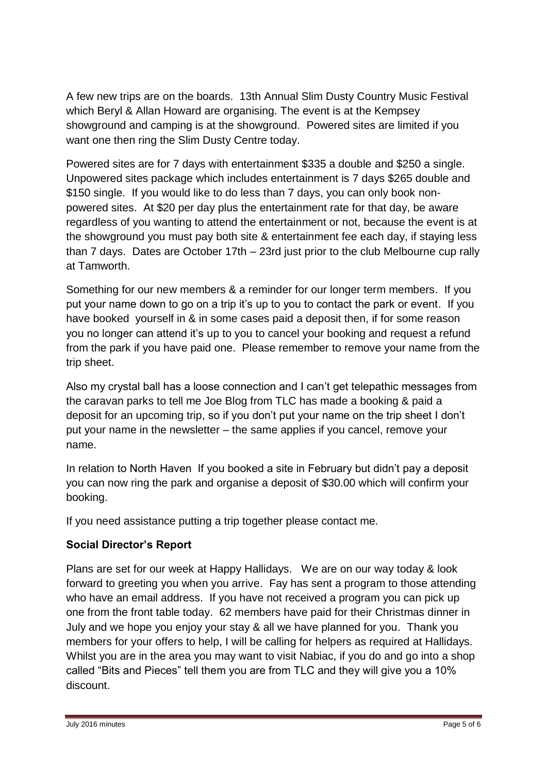A few new trips are on the boards. 13th Annual Slim Dusty Country Music Festival which Beryl & Allan Howard are organising. The event is at the Kempsey showground and camping is at the showground. Powered sites are limited if you want one then ring the Slim Dusty Centre today.

Powered sites are for 7 days with entertainment \$335 a double and \$250 a single. Unpowered sites package which includes entertainment is 7 days \$265 double and \$150 single. If you would like to do less than 7 days, you can only book nonpowered sites. At \$20 per day plus the entertainment rate for that day, be aware regardless of you wanting to attend the entertainment or not, because the event is at the showground you must pay both site & entertainment fee each day, if staying less than 7 days. Dates are October 17th – 23rd just prior to the club Melbourne cup rally at Tamworth.

Something for our new members & a reminder for our longer term members. If you put your name down to go on a trip it's up to you to contact the park or event. If you have booked yourself in & in some cases paid a deposit then, if for some reason you no longer can attend it's up to you to cancel your booking and request a refund from the park if you have paid one. Please remember to remove your name from the trip sheet.

Also my crystal ball has a loose connection and I can't get telepathic messages from the caravan parks to tell me Joe Blog from TLC has made a booking & paid a deposit for an upcoming trip, so if you don't put your name on the trip sheet I don't put your name in the newsletter – the same applies if you cancel, remove your name.

In relation to North Haven If you booked a site in February but didn't pay a deposit you can now ring the park and organise a deposit of \$30.00 which will confirm your booking.

If you need assistance putting a trip together please contact me.

# **Social Director's Report**

Plans are set for our week at Happy Hallidays. We are on our way today & look forward to greeting you when you arrive. Fay has sent a program to those attending who have an email address. If you have not received a program you can pick up one from the front table today. 62 members have paid for their Christmas dinner in July and we hope you enjoy your stay & all we have planned for you. Thank you members for your offers to help, I will be calling for helpers as required at Hallidays. Whilst you are in the area you may want to visit Nabiac, if you do and go into a shop called "Bits and Pieces" tell them you are from TLC and they will give you a 10% discount.